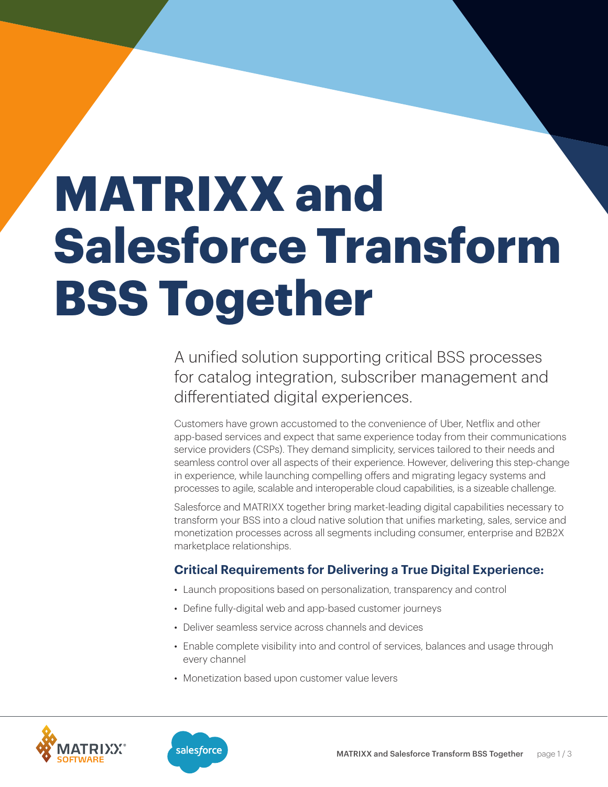# **MATRIXX and Salesforce Transform BSS Together**

A unified solution supporting critical BSS processes for catalog integration, subscriber management and differentiated digital experiences.

Customers have grown accustomed to the convenience of Uber, Netflix and other app-based services and expect that same experience today from their communications service providers (CSPs). They demand simplicity, services tailored to their needs and seamless control over all aspects of their experience. However, delivering this step-change in experience, while launching compelling offers and migrating legacy systems and processes to agile, scalable and interoperable cloud capabilities, is a sizeable challenge.

Salesforce and MATRIXX together bring market-leading digital capabilities necessary to transform your BSS into a cloud native solution that unifies marketing, sales, service and monetization processes across all segments including consumer, enterprise and B2B2X marketplace relationships.

## **Critical Requirements for Delivering a True Digital Experience:**

- Launch propositions based on personalization, transparency and control
- Define fully-digital web and app-based customer journeys
- Deliver seamless service across channels and devices
- Enable complete visibility into and control of services, balances and usage through every channel
- Monetization based upon customer value levers



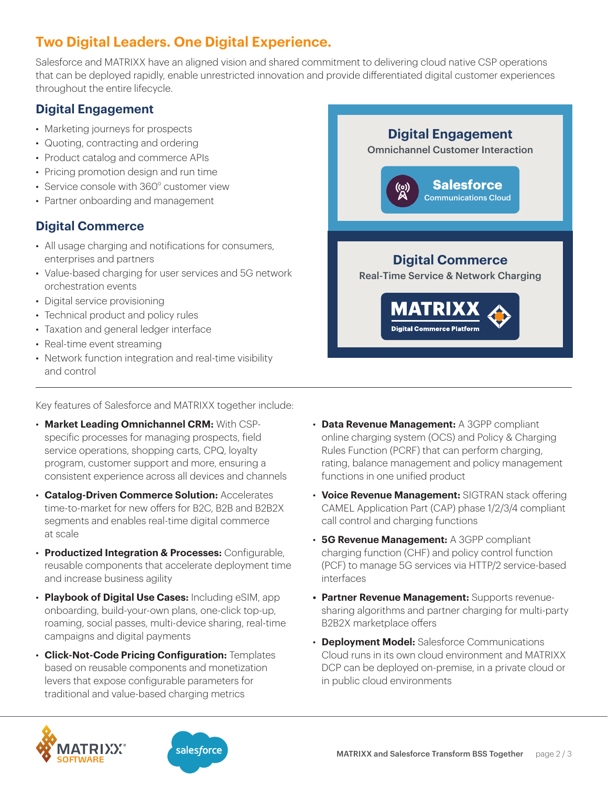# **Two Digital Leaders. One Digital Experience.**

Salesforce and MATRIXX have an aligned vision and shared commitment to delivering cloud native CSP operations that can be deployed rapidly, enable unrestricted innovation and provide differentiated digital customer experiences throughout the entire lifecycle.

## **Digital Engagement**

- Marketing journeys for prospects
- Quoting, contracting and ordering
- Product catalog and commerce APIs
- Pricing promotion design and run time
- Service console with 360° customer view
- Partner onboarding and management

## **Digital Commerce**

- All usage charging and notifications for consumers, enterprises and partners
- Value-based charging for user services and 5G network orchestration events
- Digital service provisioning
- Technical product and policy rules
- Taxation and general ledger interface
- Real-time event streaming
- Network function integration and real-time visibility and control

Key features of Salesforce and MATRIXX together include:

- **Market Leading Omnichannel CRM:** With CSPspecific processes for managing prospects, field service operations, shopping carts, CPQ, loyalty program, customer support and more, ensuring a consistent experience across all devices and channels
- **Catalog-Driven Commerce Solution:** Accelerates time-to-market for new offers for B2C, B2B and B2B2X segments and enables real-time digital commerce at scale
- **Productized Integration & Processes:** Configurable, reusable components that accelerate deployment time and increase business agility
- **Playbook of Digital Use Cases:** Including eSIM, app onboarding, build-your-own plans, one-click top-up, roaming, social passes, multi-device sharing, real-time campaigns and digital payments
- **Click-Not-Code Pricing Configuration:** Templates based on reusable components and monetization levers that expose configurable parameters for traditional and value-based charging metrics







- **Data Revenue Management:** A 3GPP compliant online charging system (OCS) and Policy & Charging Rules Function (PCRF) that can perform charging, rating, balance management and policy management functions in one unified product
- **Voice Revenue Management:** SIGTRAN stack offering CAMEL Application Part (CAP) phase 1/2/3/4 compliant call control and charging functions
- **5G Revenue Management:** A 3GPP compliant charging function (CHF) and policy control function (PCF) to manage 5G services via HTTP/2 service-based interfaces
- **• Partner Revenue Management:** Supports revenuesharing algorithms and partner charging for multi-party B2B2X marketplace offers
- **Deployment Model:** Salesforce Communications Cloud runs in its own cloud environment and MATRIXX DCP can be deployed on-premise, in a private cloud or in public cloud environments